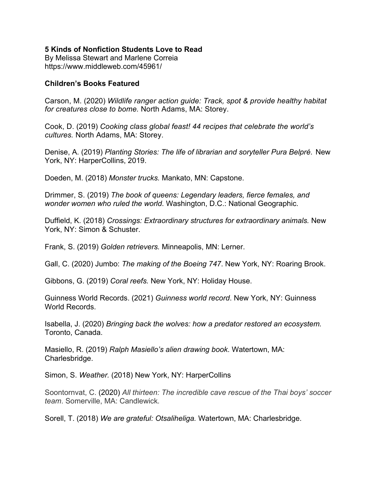## **5 Kinds of Nonfiction Students Love to Read**

By Melissa Stewart and Marlene Correia https://www.middleweb.com/45961/

## **Children's Books Featured**

Carson, M. (2020) *Wildlife ranger action guide: Track, spot & provide healthy habitat for creatures close to bome.* North Adams, MA: Storey.

Cook, D. (2019) *Cooking class global feast! 44 recipes that celebrate the world's cultures.* North Adams, MA: Storey.

Denise, A. (2019) *Planting Stories: The life of librarian and soryteller Pura Belpré*. New York, NY: HarperCollins, 2019.

Doeden, M. (2018) *Monster trucks.* Mankato, MN: Capstone.

Drimmer, S. (2019) *The book of queens: Legendary leaders, fierce females, and wonder women who ruled the world*. Washington, D.C.: National Geographic.

Duffield, K. (2018) *Crossings: Extraordinary structures for extraordinary animals.* New York, NY: Simon & Schuster.

Frank, S. (2019) *Golden retrievers.* Minneapolis, MN: Lerner.

Gall, C. (2020) Jumbo: *The making of the Boeing 747*. New York, NY: Roaring Brook.

Gibbons, G. (2019) *Coral reefs.* New York, NY: Holiday House.

Guinness World Records. (2021) *Guinness world record*. New York, NY: Guinness World Records.

Isabella, J. (2020) *Bringing back the wolves: how a predator restored an ecosystem.*  Toronto, Canada.

Masiello, R. (2019) *Ralph Masiello's alien drawing book*. Watertown, MA: Charlesbridge.

Simon, S. Weather. (2018) New York, NY: HarperCollins

Soontornvat, C. (2020) *All thirteen: The incredible cave rescue of the Thai boys' soccer team*. Somerville, MA: Candlewick*.*

Sorell, T. (2018) *We are grateful: Otsaliheliga.* Watertown, MA: Charlesbridge.